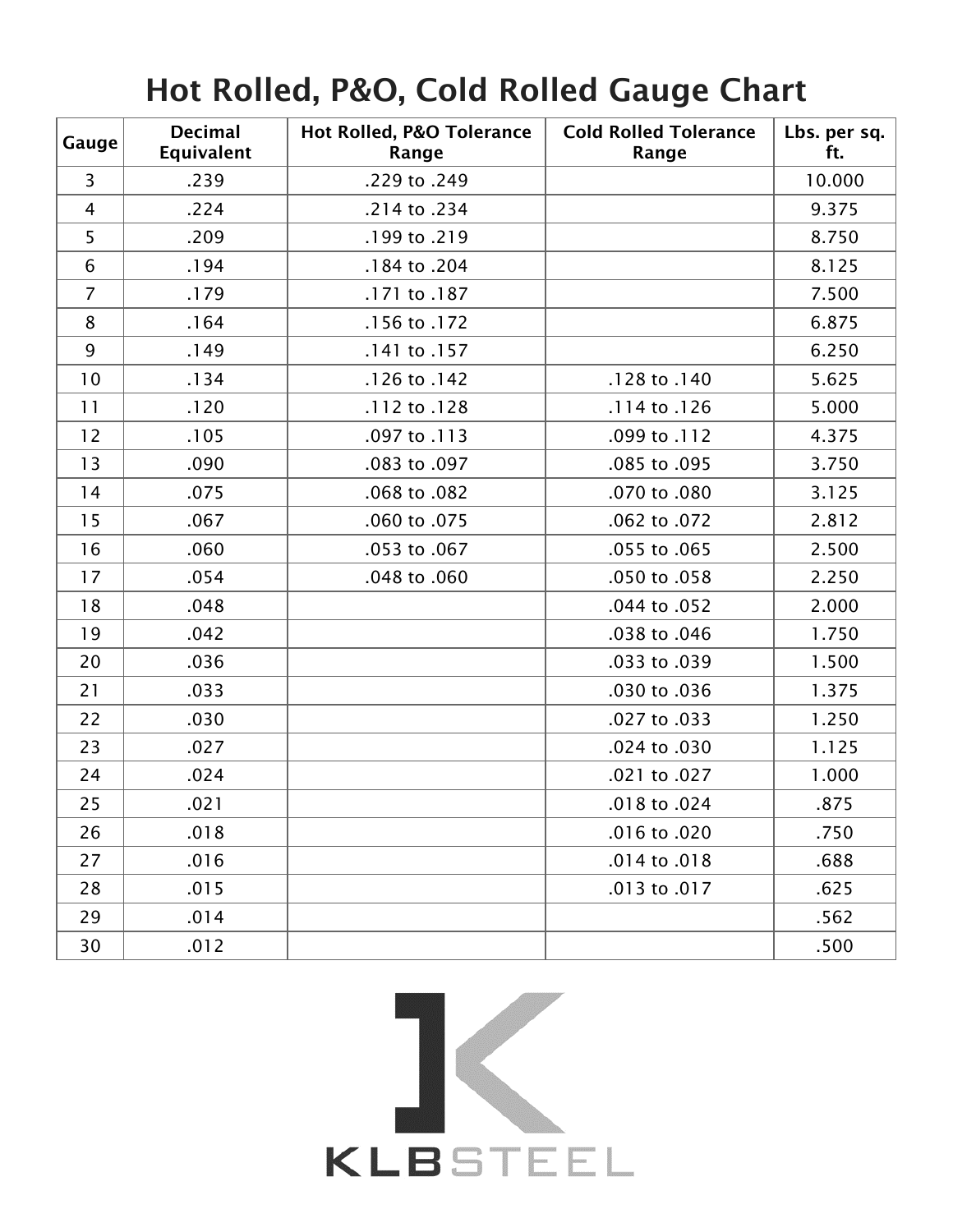## Hot Rolled, P&O, Cold Rolled Gauge Chart

| Gauge          | <b>Decimal</b><br>Equivalent | <b>Hot Rolled, P&amp;O Tolerance</b><br>Range | <b>Cold Rolled Tolerance</b><br>Range | Lbs. per sq.<br>ft. |
|----------------|------------------------------|-----------------------------------------------|---------------------------------------|---------------------|
| 3              | .239                         | .229 to .249                                  |                                       | 10.000              |
| $\overline{4}$ | .224                         | .214 to .234                                  |                                       | 9.375               |
| 5              | .209                         | .199 to .219                                  |                                       | 8.750               |
| 6              | .194                         | .184 to .204                                  |                                       | 8.125               |
| $\overline{7}$ | .179                         | .171 to .187                                  |                                       | 7.500               |
| 8              | .164                         | .156 to .172                                  |                                       | 6.875               |
| 9              | .149                         | .141 to .157                                  |                                       | 6.250               |
| 10             | .134                         | .126 to .142                                  | .128 to .140                          | 5.625               |
| 11             | .120                         | .112 to .128                                  | .114 to .126                          | 5.000               |
| 12             | .105                         | .097 to .113                                  | .099 to .112                          | 4.375               |
| 13             | .090                         | .083 to .097                                  | .085 to .095                          | 3.750               |
| 14             | .075                         | .068 to .082                                  | .070 to .080                          | 3.125               |
| 15             | .067                         | .060 to .075                                  | .062 to .072                          | 2.812               |
| 16             | .060                         | .053 to .067                                  | .055 to .065                          | 2.500               |
| 17             | .054                         | .048 to .060                                  | .050 to .058                          | 2.250               |
| 18             | .048                         |                                               | .044 to .052                          | 2.000               |
| 19             | .042                         |                                               | .038 to .046                          | 1.750               |
| 20             | .036                         |                                               | .033 to .039                          | 1.500               |
| 21             | .033                         |                                               | .030 to .036                          | 1.375               |
| 22             | .030                         |                                               | .027 to .033                          | 1.250               |
| 23             | .027                         |                                               | .024 to .030                          | 1.125               |
| 24             | .024                         |                                               | .021 to .027                          | 1.000               |
| 25             | .021                         |                                               | .018 to .024                          | .875                |
| 26             | .018                         |                                               | .016 to .020                          | .750                |
| 27             | .016                         |                                               | .014 to .018                          | .688                |
| 28             | .015                         |                                               | .013 to .017                          | .625                |
| 29             | .014                         |                                               |                                       | .562                |
| 30             | .012                         |                                               |                                       | .500                |